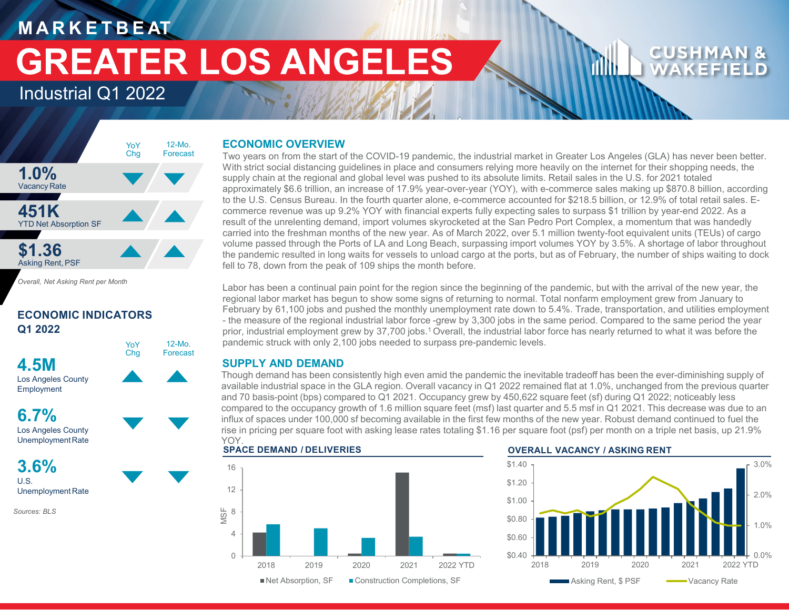## **M A R K E T B E AT GREATER LOS ANGELES**

Industrial Q1 2022



*Overall, Net Asking Rent per Month*

### **ECONOMIC INDICATORS Q1 2022**

12-Mo. Forecast

YoY Chg



Los Angeles County Employment

**6.7%** Los Angeles County UnemploymentRate

**3.6%**

U.S. Unemployment Rate

*Sources: BLS*

### **ECONOMIC OVERVIEW**

Two years on from the start of the COVID-19 pandemic, the industrial market in Greater Los Angeles (GLA) has never been better. With strict social distancing guidelines in place and consumers relying more heavily on the internet for their shopping needs, the supply chain at the regional and global level was pushed to its absolute limits. Retail sales in the U.S. for 2021 totaled approximately \$6.6 trillion, an increase of 17.9% year-over-year (YOY), with e-commerce sales making up \$870.8 billion, according to the U.S. Census Bureau. In the fourth quarter alone, e-commerce accounted for \$218.5 billion, or 12.9% of total retail sales. Ecommerce revenue was up 9.2% YOY with financial experts fully expecting sales to surpass \$1 trillion by year-end 2022. As a result of the unrelenting demand, import volumes skyrocketed at the San Pedro Port Complex, a momentum that was handedly carried into the freshman months of the new year. As of March 2022, over 5.1 million twenty-foot equivalent units (TEUs) of cargo volume passed through the Ports of LA and Long Beach, surpassing import volumes YOY by 3.5%. A shortage of labor throughout the pandemic resulted in long waits for vessels to unload cargo at the ports, but as of February, the number of ships waiting to dock fell to 78, down from the peak of 109 ships the month before.

Labor has been a continual pain point for the region since the beginning of the pandemic, but with the arrival of the new year, the regional labor market has begun to show some signs of returning to normal. Total nonfarm employment grew from January to February by 61,100 jobs and pushed the monthly unemployment rate down to 5.4%. Trade, transportation, and utilities employment - the measure of the regional industrial labor force -grew by 3,300 jobs in the same period. Compared to the same period the year prior, industrial employment grew by 37,700 jobs.1 Overall, the industrial labor force has nearly returned to what it was before the pandemic struck with only 2,100 jobs needed to surpass pre-pandemic levels.

### **SUPPLY AND DEMAND**

Though demand has been consistently high even amid the pandemic the inevitable tradeoff has been the ever-diminishing supply of available industrial space in the GLA region. Overall vacancy in Q1 2022 remained flat at 1.0%, unchanged from the previous quarter and 70 basis-point (bps) compared to Q1 2021. Occupancy grew by 450,622 square feet (sf) during Q1 2022; noticeably less compared to the occupancy growth of 1.6 million square feet (msf) last quarter and 5.5 msf in Q1 2021. This decrease was due to an influx of spaces under 100,000 sf becoming available in the first few months of the new year. Robust demand continued to fuel the rise in pricing per square foot with asking lease rates totaling \$1.16 per square foot (psf) per month on a triple net basis, up 21.9%



### **SPACE DEMAND / DELIVERIES OVERALL VACANCY / ASKING RENT**



WAKEF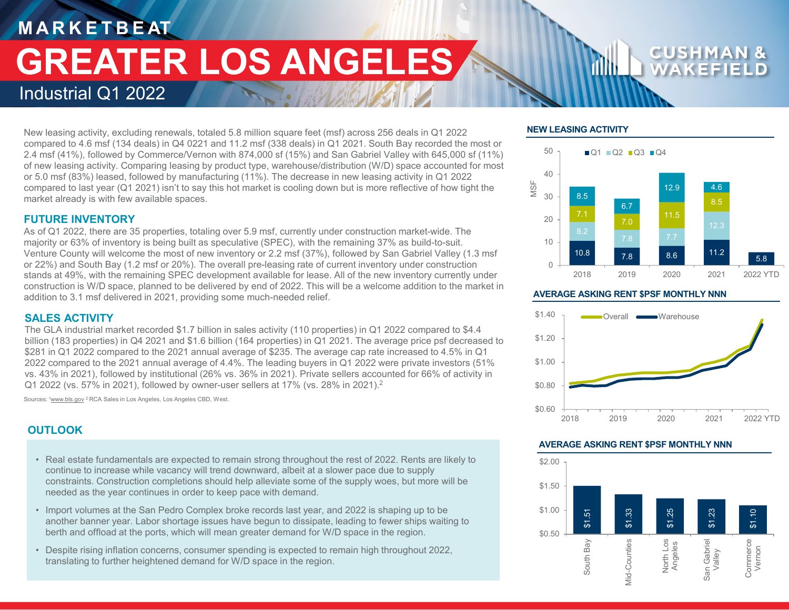# **M A R K E T B E AT GREATER LOS ANGELES**

Industrial Q1 2022

New leasing activity, excluding renewals, totaled 5.8 million square feet (msf) across 256 deals in Q1 2022 compared to 4.6 msf (134 deals) in Q4 0221 and 11.2 msf (338 deals) in Q1 2021. South Bay recorded the most or 2.4 msf (41%), followed by Commerce/Vernon with 874,000 sf (15%) and San Gabriel Valley with 645,000 sf (11%) of new leasing activity. Comparing leasing by product type, warehouse/distribution (W/D) space accounted for most or 5.0 msf (83%) leased, followed by manufacturing (11%). The decrease in new leasing activity in Q1 2022 compared to last year (Q1 2021) isn't to say this hot market is cooling down but is more reflective of how tight the market already is with few available spaces.

### **FUTURE INVENTORY**

As of Q1 2022, there are 35 properties, totaling over 5.9 msf, currently under construction market-wide. The majority or 63% of inventory is being built as speculative (SPEC), with the remaining 37% as build-to-suit. Venture County will welcome the most of new inventory or 2.2 msf (37%), followed by San Gabriel Valley (1.3 msf or 22%) and South Bay (1.2 msf or 20%). The overall pre-leasing rate of current inventory under construction stands at 49%, with the remaining SPEC development available for lease. All of the new inventory currently under construction is W/D space, planned to be delivered by end of 2022. This will be a welcome addition to the market in addition to 3.1 msf delivered in 2021, providing some much-needed relief.

### **SALES ACTIVITY**

The GLA industrial market recorded \$1.7 billion in sales activity (110 properties) in Q1 2022 compared to \$4.4 billion (183 properties) in Q4 2021 and \$1.6 billion (164 properties) in Q1 2021. The average price psf decreased to \$281 in Q1 2022 compared to the 2021 annual average of \$235. The average cap rate increased to 4.5% in Q1 2022 compared to the 2021 annual average of 4.4%. The leading buyers in Q1 2022 were private investors (51% vs. 43% in 2021), followed by institutional (26% vs. 36% in 2021). Private sellers accounted for 66% of activity in Q1 2022 (vs. 57% in 2021), followed by owner-user sellers at 17% (vs. 28% in 2021). 2

Sources: <sup>1</sup>www.bls.gov <sup>2</sup> RCA Sales in Los Angeles, Los Angeles CBD, West.

### **OUTLOOK**

- Real estate fundamentals are expected to remain strong throughout the rest of 2022. Rents are likely to continue to increase while vacancy will trend downward, albeit at a slower pace due to supply constraints. Construction completions should help alleviate some of the supply woes, but more will be needed as the year continues in order to keep pace with demand.
- Import volumes at the San Pedro Complex broke records last year, and 2022 is shaping up to be another banner year. Labor shortage issues have begun to dissipate, leading to fewer ships waiting to berth and offload at the ports, which will mean greater demand for W/D space in the region.
- Despite rising inflation concerns, consumer spending is expected to remain high throughout 2022, translating to further heightened demand for W/D space in the region.

### **NEW LEASING ACTIVITY**



### **AVERAGE ASKING RENT \$PSF MONTHLY NNN**



### **AVERAGE ASKING RENT \$PSF MONTHLY NNN**

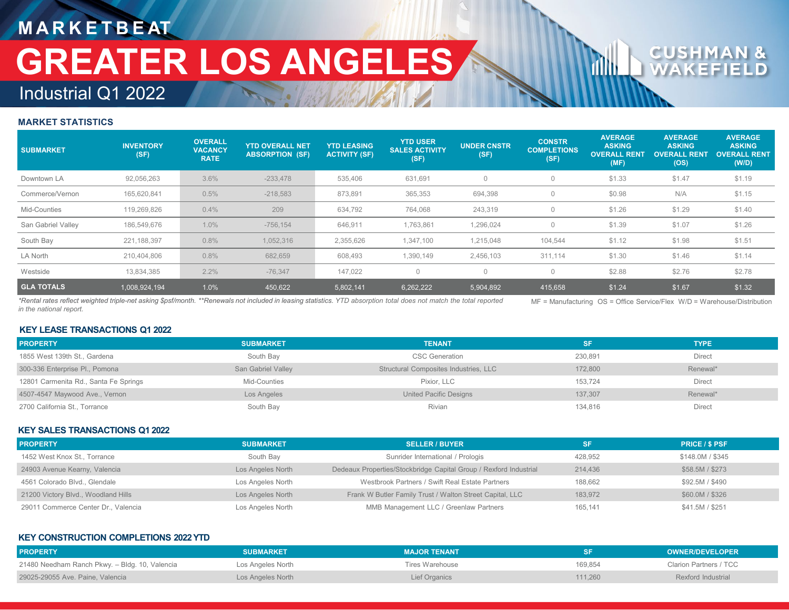# **M A R K E T B E AT GREATER LOS ANGELES**

## Industrial Q1 2022

### **MARKET STATISTICS**

| <b>SUBMARKET</b>   | <b>INVENTORY</b><br>(SF)                                                                                                                                          | <b>OVERALL</b><br><b>VACANCY</b><br><b>RATE</b> | <b>YTD OVERALL NET</b><br><b>ABSORPTION (SF)</b> | <b>YTD LEASING</b><br><b>ACTIVITY (SF)</b> | <b>YTD USER</b><br><b>SALES ACTIVITY</b><br>(SF) | <b>UNDER CNSTR</b><br>(SF) | <b>CONSTR</b><br><b>COMPLETIONS</b><br>(SF) | <b>AVERAGE</b><br><b>ASKING</b><br><b>OVERALL RENT</b><br>(MF)                                                                              | <b>AVERAGE</b><br><b>ASKING</b><br><b>OVERALL RENT</b><br>(OS) | <b>AVERAGE</b><br><b>ASKING</b><br><b>OVERALL RENT</b><br>(W/D) |
|--------------------|-------------------------------------------------------------------------------------------------------------------------------------------------------------------|-------------------------------------------------|--------------------------------------------------|--------------------------------------------|--------------------------------------------------|----------------------------|---------------------------------------------|---------------------------------------------------------------------------------------------------------------------------------------------|----------------------------------------------------------------|-----------------------------------------------------------------|
| Downtown LA        | 92,056,263                                                                                                                                                        | 3.6%                                            | $-233,478$                                       | 535,406                                    | 631,691                                          | 0                          |                                             | \$1.33                                                                                                                                      | \$1.47                                                         | \$1.19                                                          |
| Commerce/Vernon    | 165,620,841                                                                                                                                                       | 0.5%                                            | $-218,583$                                       | 873,891                                    | 365,353                                          | 694,398                    |                                             | \$0.98                                                                                                                                      | N/A                                                            | \$1.15                                                          |
| Mid-Counties       | 119,269,826                                                                                                                                                       | 0.4%                                            | 209                                              | 634.792                                    | 764.068                                          | 243,319                    |                                             | \$1.26                                                                                                                                      | \$1.29                                                         | \$1.40                                                          |
| San Gabriel Valley | 186,549,676                                                                                                                                                       | 1.0%                                            | $-756, 154$                                      | 646,911                                    | 1,763,861                                        | 1,296,024                  |                                             | \$1.39                                                                                                                                      | \$1.07                                                         | \$1.26                                                          |
| South Bay          | 221,188,397                                                                                                                                                       | 0.8%                                            | 1,052,316                                        | 2,355,626                                  | 1,347,100                                        | 1,215,048                  | 104,544                                     | \$1.12                                                                                                                                      | \$1.98                                                         | \$1.51                                                          |
| LA North           | 210,404,806                                                                                                                                                       | 0.8%                                            | 682,659                                          | 608,493                                    | 1,390,149                                        | 2,456,103                  | 311,114                                     | \$1.30                                                                                                                                      | \$1.46                                                         | \$1.14                                                          |
| Westside           | 13,834,385                                                                                                                                                        | $2.2\%$                                         | $-76.347$                                        | 147.022                                    |                                                  | $\mathbf{0}$               |                                             | \$2.88                                                                                                                                      | \$2.76                                                         | \$2.78                                                          |
| <b>GLA TOTALS</b>  | 1,008,924,194                                                                                                                                                     | 1.0%                                            | 450,622                                          | 5,802,141                                  | 6,262,222                                        | 5,904,892                  | 415,658                                     | \$1.24                                                                                                                                      | \$1.67                                                         | \$1.32                                                          |
|                    | *Pental rates reflect weighted triple net asking Spst(month **Penewals not included in leasing statistics, VTD absorption total does not match the total reported |                                                 |                                                  |                                            |                                                  |                            |                                             | $MF = M_{\text{outflow}}$ $\Omega_{\text{in}} = \Omega_{\text{max}}$ $\Omega_{\text{inflow}}$ $\Omega_{\text{outflow}} = M_{\text{inflow}}$ |                                                                |                                                                 |

*\*Rental rates reflect weighted triple-net asking \$psf/month. \*\*Renewals not included in leasing statistics. YTD absorption total does not match the total reported in the national report.* 

MF = Manufacturing OS = Office Service/Flex W/D = Warehouse/Distribution

### **KEY LEASE TRANSACTIONS Q1 2022**

| <b>PROPERTY</b>                       | <b>SUBMARKET</b>   | <b>TENANT</b>                         | <b>SF</b> | <b>TYPE</b> |
|---------------------------------------|--------------------|---------------------------------------|-----------|-------------|
| 1855 West 139th St., Gardena          | South Bay          | <b>CSC Generation</b>                 | 230,891   | Direct      |
| 300-336 Enterprise Pl., Pomona        | San Gabriel Valley | Structural Composites Industries, LLC | 172,800   | Renewal*    |
| 12801 Carmenita Rd., Santa Fe Springs | Mid-Counties       | Pixior, LLC                           | 153,724   | Direct      |
| 4507-4547 Maywood Ave., Vernon        | Los Angeles        | <b>United Pacific Designs</b>         | 137.307   | Renewal*    |
| 2700 California St., Torrance         | South Bay          | Rivian                                | 134,816   | Direct      |

### **KEY SALES TRANSACTIONS Q1 2022**

| <b>PROPERTY</b>                     | <b>SUBMARKET</b>  | <b>SELLER / BUYER</b>                                             | <b>SF</b> | <b>PRICE / \$ PSF</b> |
|-------------------------------------|-------------------|-------------------------------------------------------------------|-----------|-----------------------|
| 1452 West Knox St., Torrance        | South Bay         | Sunrider International / Prologis                                 | 428,952   | \$148.0M / \$345      |
| 24903 Avenue Kearny, Valencia       | Los Angeles North | Dedeaux Properties/Stockbridge Capital Group / Rexford Industrial | 214,436   | \$58.5M / \$273       |
| 4561 Colorado Blvd., Glendale       | Los Angeles North | Westbrook Partners / Swift Real Estate Partners                   | 188,662   | \$92.5M / \$490       |
| 21200 Victory Blvd., Woodland Hills | Los Angeles North | Frank W Butler Family Trust / Walton Street Capital, LLC          | 183.972   | \$60.0M / \$326       |
| 29011 Commerce Center Dr., Valencia | Los Angeles North | MMB Management LLC / Greenlaw Partners                            | 165.141   | \$41.5M / \$251       |

### **KEY CONSTRUCTION COMPLETIONS 2022 YTD**

| <b>PROPERTY</b>                                | <b>SUBMARKET</b>  | <b>MAJOR TENANT</b> |         | <b>OWNER/DEVELOPER</b> |
|------------------------------------------------|-------------------|---------------------|---------|------------------------|
| 21480 Needham Ranch Pkwy. - Bldg. 10, Valencia | Los Angeles North | Tires Warehouse     | 169,854 | Clarion Partners / TCC |
| 29025-29055 Ave. Paine, Valencia               | Los Angeles North | Lief Organics       | 111,260 | Rexford Industrial     |